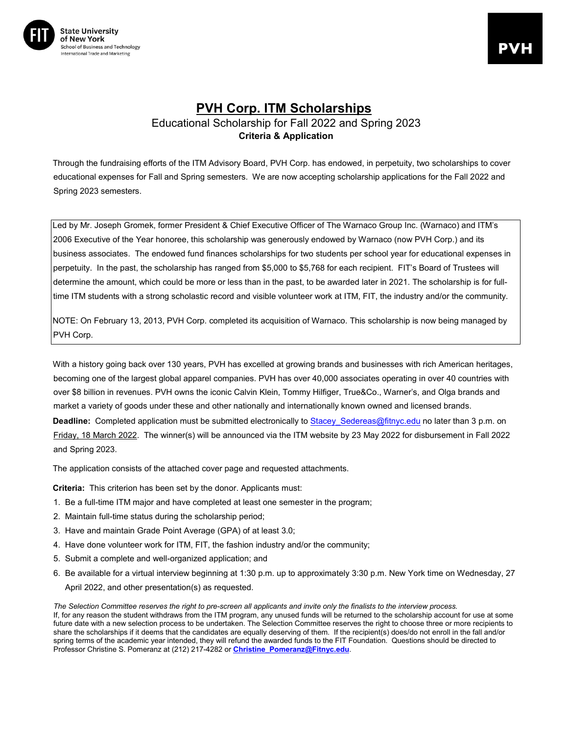

## **PVH Corp. ITM Scholarships** Educational Scholarship for Fall 2022 and Spring 2023 **Criteria & Application**

Through the fundraising efforts of the ITM Advisory Board, PVH Corp. has endowed, in perpetuity, two scholarships to cover educational expenses for Fall and Spring semesters. We are now accepting scholarship applications for the Fall 2022 and Spring 2023 semesters.

Led by Mr. Joseph Gromek, former President & Chief Executive Officer of The Warnaco Group Inc. (Warnaco) and ITM's 2006 Executive of the Year honoree, this scholarship was generously endowed by Warnaco (now PVH Corp.) and its business associates. The endowed fund finances scholarships for two students per school year for educational expenses in perpetuity. In the past, the scholarship has ranged from \$5,000 to \$5,768 for each recipient. FIT's Board of Trustees will determine the amount, which could be more or less than in the past, to be awarded later in 2021. The scholarship is for fulltime ITM students with a strong scholastic record and visible volunteer work at ITM, FIT, the industry and/or the community.

NOTE: On February 13, 2013, PVH Corp. completed its acquisition of Warnaco. This scholarship is now being managed by PVH Corp.

With a history going back over 130 years, PVH has excelled at growing brands and businesses with rich American heritages, becoming one of the largest global apparel companies. PVH has over 40,000 associates operating in over 40 countries with over \$8 billion in revenues. PVH owns the iconic Calvin Klein, Tommy Hilfiger, True&Co., Warner's, and Olga brands and market a variety of goods under these and other nationally and internationally known owned and licensed brands.

**Deadline:** Completed application must be submitted electronically to Stacey Sedereas@fitnyc.edu no later than 3 p.m. on Friday, 18 March 2022. The winner(s) will be announced via the ITM website by 23 May 2022 for disbursement in Fall 2022 and Spring 2023.

The application consists of the attached cover page and requested attachments.

**Criteria:** This criterion has been set by the donor. Applicants must:

- 1. Be a full-time ITM major and have completed at least one semester in the program;
- 2. Maintain full-time status during the scholarship period;
- 3. Have and maintain Grade Point Average (GPA) of at least 3.0;
- 4. Have done volunteer work for ITM, FIT, the fashion industry and/or the community;
- 5. Submit a complete and well-organized application; and
- 6. Be available for a virtual interview beginning at 1:30 p.m. up to approximately 3:30 p.m. New York time on Wednesday, 27 April 2022, and other presentation(s) as requested.

*The Selection Committee reserves the right to pre-screen all applicants and invite only the finalists to the interview process.*  If, for any reason the student withdraws from the ITM program, any unused funds will be returned to the scholarship account for use at some future date with a new selection process to be undertaken. The Selection Committee reserves the right to choose three or more recipients to share the scholarships if it deems that the candidates are equally deserving of them. If the recipient(s) does/do not enroll in the fall and/or spring terms of the academic year intended, they will refund the awarded funds to the FIT Foundation. Questions should be directed to Professor Christine S. Pomeranz at (212) 217-4282 or **Christine\_Pomeranz@Fitnyc.edu**.